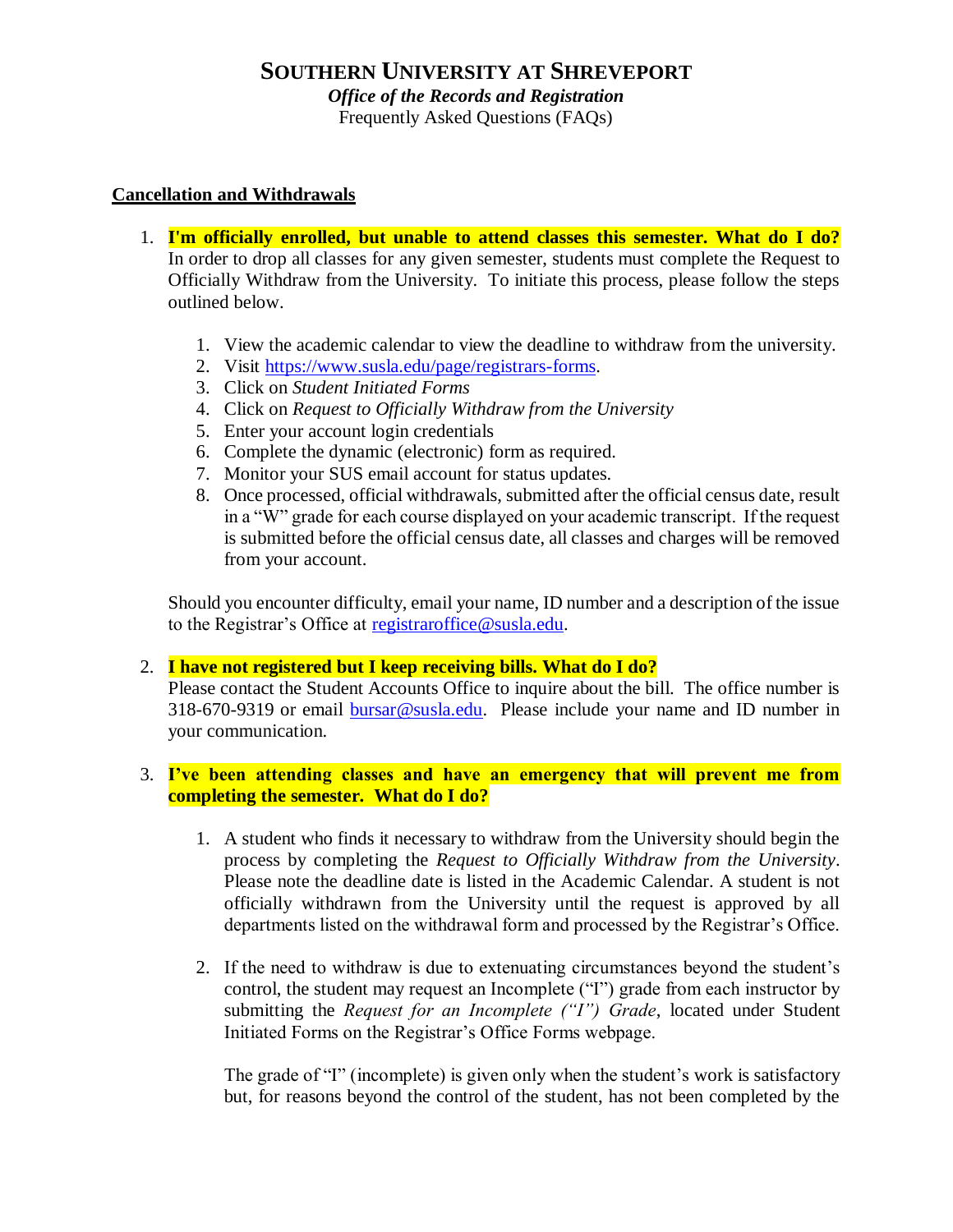*Office of the Records and Registration* 

Frequently Asked Questions (FAQs)

## **Cancellation and Withdrawals**

- 1. **I'm officially enrolled, but unable to attend classes this semester. What do I do?** In order to drop all classes for any given semester, students must complete the Request to Officially Withdraw from the University. To initiate this process, please follow the steps outlined below.
	- 1. View the academic calendar to view the deadline to withdraw from the university.
	- 2. Visit [https://www.susla.edu/page/registrars-forms.](https://www.susla.edu/page/registrars-forms)
	- 3. Click on *Student Initiated Forms*
	- 4. Click on *Request to Officially Withdraw from the University*
	- 5. Enter your account login credentials
	- 6. Complete the dynamic (electronic) form as required.
	- 7. Monitor your SUS email account for status updates.
	- 8. Once processed, official withdrawals, submitted after the official census date, result in a "W" grade for each course displayed on your academic transcript. If the request is submitted before the official census date, all classes and charges will be removed from your account.

Should you encounter difficulty, email your name, ID number and a description of the issue to the Registrar's Office at [registraroffice@susla.edu.](mailto:registraroffice@susla.edu)

## 2. **I have not registered but I keep receiving bills. What do I do?**

Please contact the Student Accounts Office to inquire about the bill. The office number is 318-670-9319 or email [bursar@susla.edu.](mailto:bursar@susla.edu) Please include your name and ID number in your communication.

## 3. **I've been attending classes and have an emergency that will prevent me from completing the semester. What do I do?**

- 1. A student who finds it necessary to withdraw from the University should begin the process by completing the *Request to Officially Withdraw from the University*. Please note the deadline date is listed in the Academic Calendar. A student is not officially withdrawn from the University until the request is approved by all departments listed on the withdrawal form and processed by the Registrar's Office.
- 2. If the need to withdraw is due to extenuating circumstances beyond the student's control, the student may request an Incomplete ("I") grade from each instructor by submitting the *Request for an Incomplete ("I") Grade*, located under Student Initiated Forms on the Registrar's Office Forms webpage.

The grade of "I" (incomplete) is given only when the student's work is satisfactory but, for reasons beyond the control of the student, has not been completed by the